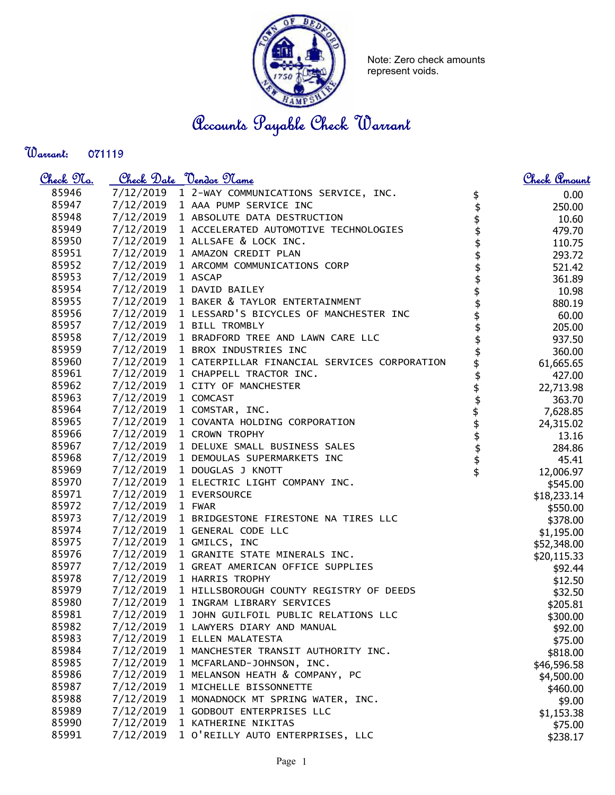

Note: Zero check amounts represent voids.

## Accounts Payable Check Warrant

Warrant: 

| <u>Check 97a.</u> |                     | <u>Check Date "Vendor Name</u>                         |                        | <u>Check Amount</u> |
|-------------------|---------------------|--------------------------------------------------------|------------------------|---------------------|
| 85946             |                     | 7/12/2019 1 2-WAY COMMUNICATIONS SERVICE, INC.         |                        | 0.00                |
| 85947             |                     | 7/12/2019 1 AAA PUMP SERVICE INC                       | $\updownarrow$         | 250.00              |
| 85948             |                     | 7/12/2019 1 ABSOLUTE DATA DESTRUCTION                  |                        | 10.60               |
| 85949             |                     | 7/12/2019 1 ACCELERATED AUTOMOTIVE TECHNOLOGIES        |                        | 479.70              |
| 85950             |                     | 7/12/2019 1 ALLSAFE & LOCK INC.                        |                        | 110.75              |
| 85951             |                     | 7/12/2019 1 AMAZON CREDIT PLAN                         |                        | 293.72              |
| 85952             |                     | 7/12/2019 1 ARCOMM COMMUNICATIONS CORP                 |                        | 521.42              |
| 85953             | 7/12/2019 1 ASCAP   |                                                        | \$\$\$\$\$\$\$\$\$\$\$ | 361.89              |
| 85954             |                     | 7/12/2019 1 DAVID BAILEY                               |                        | 10.98               |
| 85955             |                     | 7/12/2019 1 BAKER & TAYLOR ENTERTAINMENT               |                        | 880.19              |
| 85956             |                     | 7/12/2019 1 LESSARD'S BICYCLES OF MANCHESTER INC       |                        | 60.00               |
| 85957             |                     | 7/12/2019 1 BILL TROMBLY                               |                        | 205.00              |
| 85958             |                     | 7/12/2019 1 BRADFORD TREE AND LAWN CARE LLC            |                        | 937.50              |
| 85959             |                     | 7/12/2019 1 BROX INDUSTRIES INC                        | \$                     | 360.00              |
| 85960             |                     | 7/12/2019 1 CATERPILLAR FINANCIAL SERVICES CORPORATION | \$                     | 61,665.65           |
| 85961             |                     | 7/12/2019 1 CHAPPELL TRACTOR INC.                      |                        | 427.00              |
| 85962             |                     | 7/12/2019 1 CITY OF MANCHESTER                         |                        | 22,713.98           |
| 85963             | 7/12/2019 1 COMCAST |                                                        |                        | 363.70              |
| 85964             |                     | 7/12/2019 1 COMSTAR, INC.                              |                        | 7,628.85            |
| 85965             |                     | 7/12/2019 1 COVANTA HOLDING CORPORATION                |                        | 24,315.02           |
| 85966             |                     | 7/12/2019 1 CROWN TROPHY                               |                        | 13.16               |
| 85967             |                     | 7/12/2019 1 DELUXE SMALL BUSINESS SALES                |                        | 284.86              |
| 85968             |                     | 7/12/2019 1 DEMOULAS SUPERMARKETS INC                  |                        | 45.41               |
| 85969             |                     | 7/12/2019 1 DOUGLAS J KNOTT                            | \$\$\$\$\$\$\$\$\$     | 12,006.97           |
| 85970             |                     | 7/12/2019 1 ELECTRIC LIGHT COMPANY INC.                |                        | \$545.00            |
| 85971             |                     | 7/12/2019 1 EVERSOURCE                                 |                        | \$18,233.14         |
| 85972             | 7/12/2019 1 FWAR    |                                                        |                        | \$550.00            |
| 85973             |                     | 7/12/2019 1 BRIDGESTONE FIRESTONE NA TIRES LLC         |                        | \$378.00            |
| 85974             |                     | 7/12/2019 1 GENERAL CODE LLC                           |                        | \$1,195.00          |
| 85975             |                     | 7/12/2019 1 GMILCS, INC                                |                        | \$52,348.00         |
| 85976             |                     | 7/12/2019 1 GRANITE STATE MINERALS INC.                |                        | \$20,115.33         |
| 85977             |                     | 7/12/2019 1 GREAT AMERICAN OFFICE SUPPLIES             |                        | \$92.44             |
| 85978             |                     | 7/12/2019 1 HARRIS TROPHY                              |                        | \$12.50             |
| 85979             |                     | 7/12/2019 1 HILLSBOROUGH COUNTY REGISTRY OF DEEDS      |                        | \$32.50             |
| 85980             |                     | 7/12/2019 1 INGRAM LIBRARY SERVICES                    |                        | \$205.81            |
| 85981             |                     | 7/12/2019 1 JOHN GUILFOIL PUBLIC RELATIONS LLC         |                        | \$300.00            |
| 85982             | 7/12/2019           | 1 LAWYERS DIARY AND MANUAL                             |                        | \$92.00             |
| 85983             | 7/12/2019           | 1 ELLEN MALATESTA                                      |                        | \$75.00             |
| 85984             | 7/12/2019           | 1 MANCHESTER TRANSIT AUTHORITY INC.                    |                        | \$818.00            |
| 85985             | 7/12/2019           | 1 MCFARLAND-JOHNSON, INC.                              |                        | \$46,596.58         |
| 85986             | 7/12/2019           | 1 MELANSON HEATH & COMPANY, PC                         |                        | \$4,500.00          |
| 85987             | 7/12/2019           | 1 MICHELLE BISSONNETTE                                 |                        | \$460.00            |
| 85988             | 7/12/2019           | 1 MONADNOCK MT SPRING WATER, INC.                      |                        | \$9.00              |
| 85989             | 7/12/2019           | 1 GODBOUT ENTERPRISES LLC                              |                        | \$1,153.38          |
| 85990             | 7/12/2019           | 1 KATHERINE NIKITAS                                    |                        | \$75.00             |
| 85991             | 7/12/2019           | 1 O'REILLY AUTO ENTERPRISES, LLC                       |                        | \$238.17            |